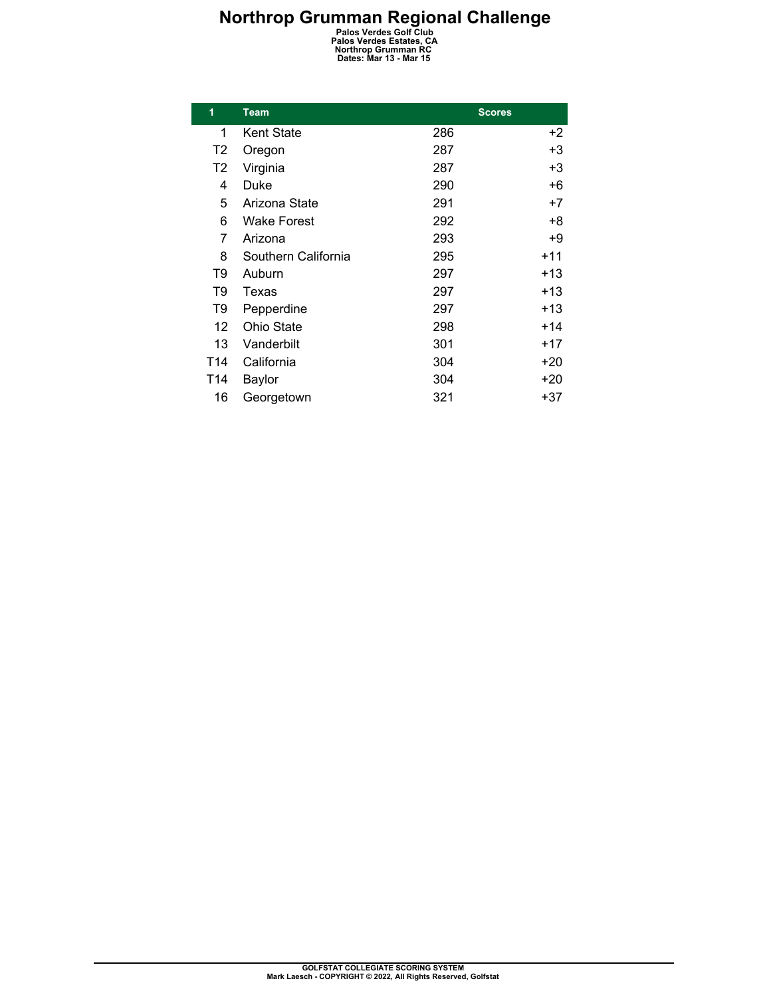## **Northrop Grumman Regional Challenge**<br>
Palos Verdes Golf Club<br>
Palos Verdes Estates, CA<br>
Northrop Grumman RC<br>
Dates: Mar 13 - Mar 15

| 1   | <b>Team</b>         |     | <b>Scores</b> |  |
|-----|---------------------|-----|---------------|--|
| 1   | <b>Kent State</b>   | 286 | +2            |  |
| T2  | Oregon              | 287 | +3            |  |
| T2  | Virginia            | 287 | +3            |  |
| 4   | Duke                | 290 | +6            |  |
| 5   | Arizona State       | 291 | $+7$          |  |
| 6   | <b>Wake Forest</b>  | 292 | +8            |  |
| 7   | Arizona             | 293 | +9            |  |
| 8   | Southern California | 295 | $+11$         |  |
| T9  | Auburn              | 297 | +13           |  |
| T9  | Texas               | 297 | +13           |  |
| T9  | Pepperdine          | 297 | $+13$         |  |
| 12  | Ohio State          | 298 | $+14$         |  |
| 13  | Vanderbilt          | 301 | $+17$         |  |
| T14 | California          | 304 | +20           |  |
| T14 | Baylor              | 304 | +20           |  |
| 16  | Georgetown          | 321 | +37           |  |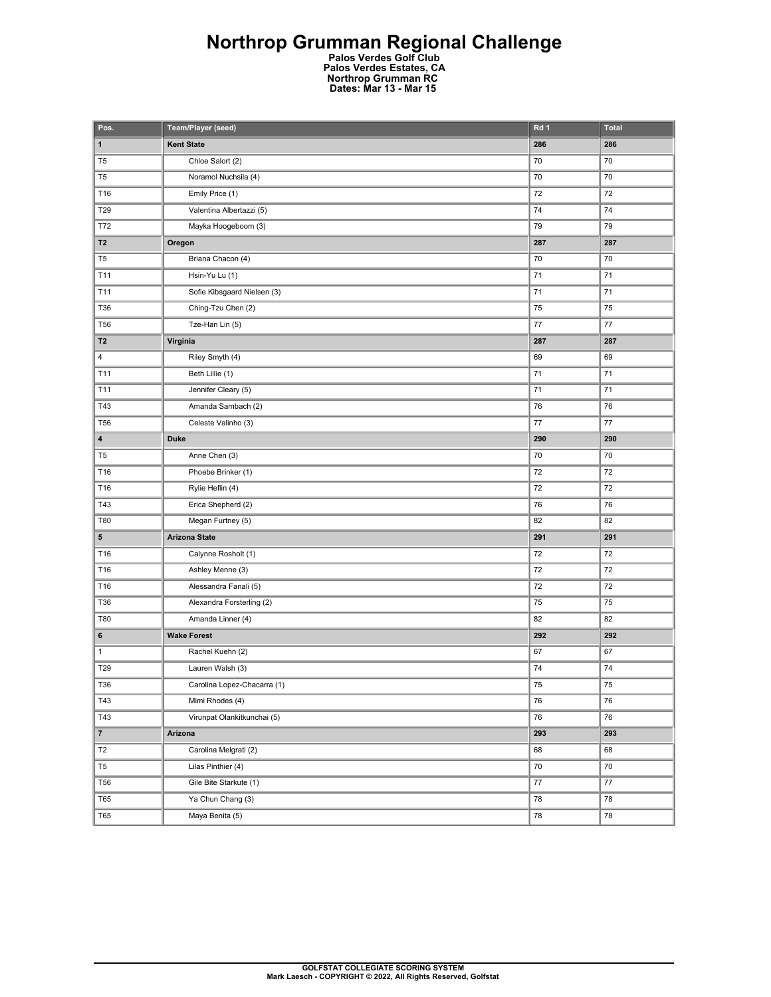## **Northrop Grumman Regional Challenge**

**Palos Verdes Golf Club Palos Verdes Estates, CA Northrop Grumman RC Dates: Mar 13 - Mar 15** 

| Pos.           | Team/Player (seed)          | Rd 1            | <b>Total</b> |
|----------------|-----------------------------|-----------------|--------------|
| $\mathbf{1}$   | <b>Kent State</b>           | 286             | 286          |
| T <sub>5</sub> | Chloe Salort (2)            | 70              | 70           |
| T <sub>5</sub> | Noramol Nuchsila (4)        | 70              | 70           |
| T16            | Emily Price (1)             | 72              | 72           |
| T29            | Valentina Albertazzi (5)    | 74              | 74           |
| T72            | Mayka Hoogeboom (3)         | 79              | 79           |
| T <sub>2</sub> | Oregon                      | 287             | 287          |
| T <sub>5</sub> | Briana Chacon (4)           | 70              | 70           |
| T11            | Hsin-Yu Lu (1)              | 71              | 71           |
| T11            | Sofie Kibsgaard Nielsen (3) | 71              | 71           |
| T36            | Ching-Tzu Chen (2)          | 75              | 75           |
| <b>T56</b>     | Tze-Han Lin (5)             | 77              | 77           |
| T <sub>2</sub> | Virginia                    | 287             | 287          |
| 4              | Riley Smyth (4)             | 69              | 69           |
| T11            | Beth Lillie (1)             | 71              | 71           |
| T11            | Jennifer Cleary (5)         | 71              | 71           |
| T43            | Amanda Sambach (2)          | 76              | 76           |
| <b>T56</b>     | Celeste Valinho (3)         | 77              | 77           |
| 4              | <b>Duke</b>                 | 290             | 290          |
| T <sub>5</sub> | Anne Chen (3)               | 70              | 70           |
| T16            | Phoebe Brinker (1)          | 72              | 72           |
| T16            | Rylie Heflin (4)            | 72              | 72           |
| T43            | Erica Shepherd (2)          | 76              | 76           |
| T80            | Megan Furtney (5)           | 82              | 82           |
| ${\bf 5}$      | <b>Arizona State</b>        | 291             | 291          |
| T16            | Calynne Rosholt (1)         | 72              | 72           |
| T16            | Ashley Menne (3)            | 72              | 72           |
| T16            | Alessandra Fanali (5)       | 72              | 72           |
| T36            | Alexandra Forsterling (2)   | 75              | 75           |
| T80            | Amanda Linner (4)           | 82              | 82           |
| 6              | <b>Wake Forest</b>          | 292             | 292          |
| $\mathbf{1}$   | Rachel Kuehn (2)            | 67              | 67           |
| T29            | Lauren Walsh (3)            | 74              | 74           |
| T36            | Carolina Lopez-Chacarra (1) | $\overline{75}$ | 75           |
| T43            | Mimi Rhodes (4)             | 76              | 76           |
| T43            | Virunpat Olankitkunchai (5) | 76              | 76           |
| $\mathbf{7}$   | Arizona                     | 293             | 293          |
| T <sub>2</sub> | Carolina Melgrati (2)       | 68              | 68           |
| ${\sf T5}$     | Lilas Pinthier (4)          | 70              | 70           |
| <b>T56</b>     | Gile Bite Starkute (1)      | 77              | $77\,$       |
| <b>T65</b>     | Ya Chun Chang (3)           | 78              | 78           |
| T65            | Maya Benita (5)             | 78              | 78           |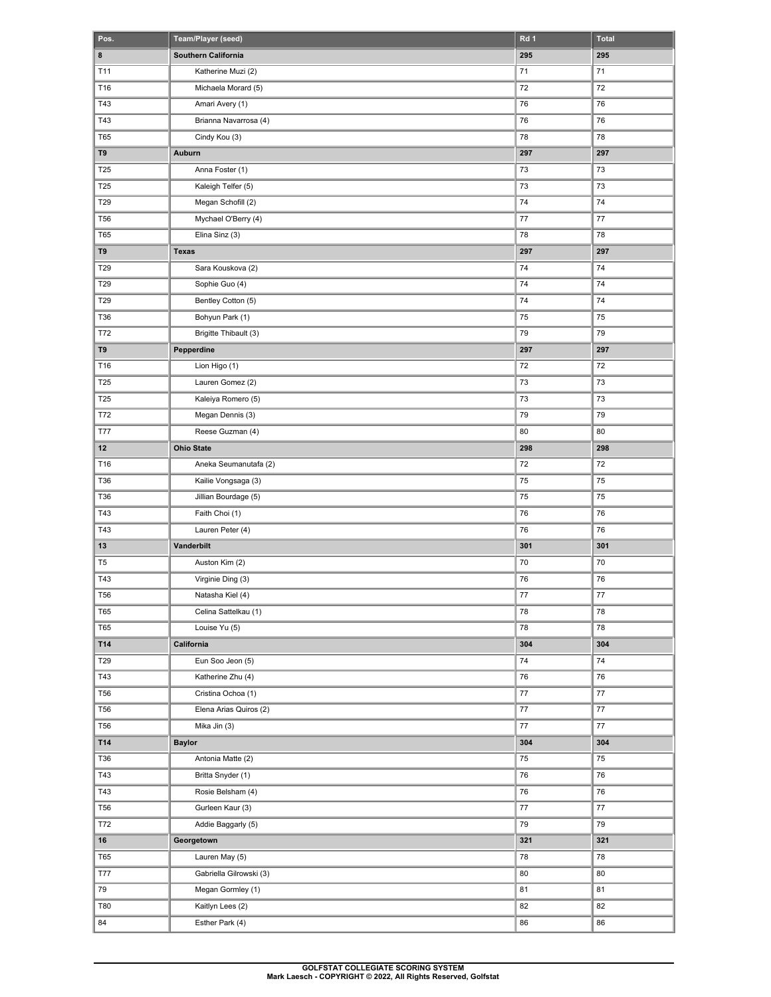| Pos.           | Team/Player (seed)      | Rd 1    | <b>Total</b> |
|----------------|-------------------------|---------|--------------|
| 8              | Southern California     | 295     | 295          |
| T11            | Katherine Muzi (2)      | 71      | 71           |
| T16            | Michaela Morard (5)     | 72      | 72           |
| T43            | Amari Avery (1)         | 76      | 76           |
| T43            | Brianna Navarrosa (4)   | 76      | 76           |
| <b>T65</b>     | Cindy Kou (3)           | 78      | 78           |
| T9             | Auburn                  | 297     | 297          |
| T25            | Anna Foster (1)         | 73      | 73           |
| T25            | Kaleigh Telfer (5)      | 73      | 73           |
| T29            | Megan Schofill (2)      | 74      | 74           |
| <b>T56</b>     | Mychael O'Berry (4)     | 77      | 77           |
| <b>T65</b>     | Elina Sinz (3)          | 78      | 78           |
| T9             | <b>Texas</b>            | 297     | 297          |
| T29            | Sara Kouskova (2)       | 74      | 74           |
| T29            | Sophie Guo (4)          | 74      | 74           |
| T29            | Bentley Cotton (5)      | 74      | 74           |
| T36            | Bohyun Park (1)         | 75      | 75           |
| T72            | Brigitte Thibault (3)   | 79      | 79           |
| T9             | Pepperdine              | 297     | 297          |
| T16            | Lion Higo (1)           | 72      | 72           |
| T25            | Lauren Gomez (2)        | 73      | 73           |
| T25            | Kaleiya Romero (5)      | 73      | 73           |
| T72            | Megan Dennis (3)        | 79      | 79           |
| <b>T77</b>     | Reese Guzman (4)        | 80      | 80           |
| 12             | <b>Ohio State</b>       | 298     | 298          |
| T16            | Aneka Seumanutafa (2)   | 72      | 72           |
| <b>T36</b>     | Kailie Vongsaga (3)     | 75      | 75           |
| T36            | Jillian Bourdage (5)    | 75      | 75           |
| T43            | Faith Choi (1)          | 76      | 76           |
| T43            | Lauren Peter (4)        | 76      | 76           |
| 13             | Vanderbilt              | 301     | 301          |
| T <sub>5</sub> | Auston Kim (2)          | 70      | 70           |
| T43            | Virginie Ding (3)       | 76      | 76           |
| <b>T56</b>     | Natasha Kiel (4)        | 77      | $77 \,$      |
| <b>T65</b>     | Celina Sattelkau (1)    | 78      | 78           |
| <b>T65</b>     | Louise Yu (5)           | 78      | 78           |
| T14            | California              | 304     | 304          |
| T29            | Eun Soo Jeon (5)        | 74      | 74           |
| T43            | Katherine Zhu (4)       | 76      | 76           |
| <b>T56</b>     | Cristina Ochoa (1)      | $77 \,$ | $77\,$       |
| <b>T56</b>     | Elena Arias Quiros (2)  | $77 \,$ | 77           |
| <b>T56</b>     | Mika Jin (3)            | 77      | 77           |
| T14            | <b>Baylor</b>           | 304     | 304          |
| T36            | Antonia Matte (2)       | 75      | 75           |
| T43            | Britta Snyder (1)       | 76      | 76           |
| T43            | Rosie Belsham (4)       | 76      | 76           |
| <b>T56</b>     | Gurleen Kaur (3)        | $77 \,$ | 77           |
| T72            | Addie Baggarly (5)      | 79      | 79           |
| 16             | Georgetown              | 321     | 321          |
| <b>T65</b>     | Lauren May (5)          | 78      | 78           |
| <b>T77</b>     | Gabriella Gilrowski (3) | 80      | 80           |
| $79\,$         | Megan Gormley (1)       | 81      | 81           |
| T80            | Kaitlyn Lees (2)        | 82      | 82           |
| 84             | Esther Park (4)         | 86      | 86           |
|                |                         |         |              |